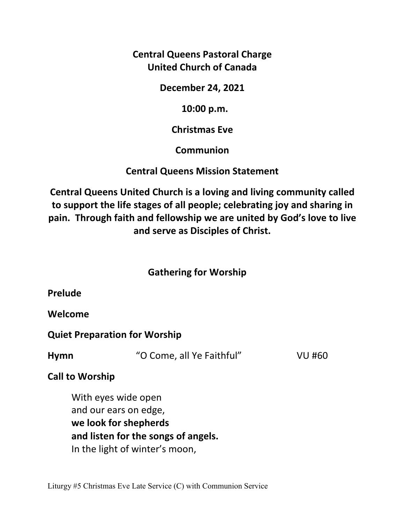**Central Queens Pastoral Charge United Church of Canada** 

**December 24, 2021** 

 **10:00 p.m.** 

**Christmas Eve** 

**Communion** 

**Central Queens Mission Statement** 

**Central Queens United Church is a loving and living community called to support the life stages of all people; celebrating joy and sharing in pain. Through faith and fellowship we are united by God's love to live and serve as Disciples of Christ.**

# **Gathering for Worship**

**Welcome** 

**Quiet Preparation for Worship** 

**Hymn** "O Come, all Ye Faithful" VU #60

# **Call to Worship**

 With eyes wide open and our ears on edge,  **we look for shepherds and listen for the songs of angels.** In the light of winter's moon,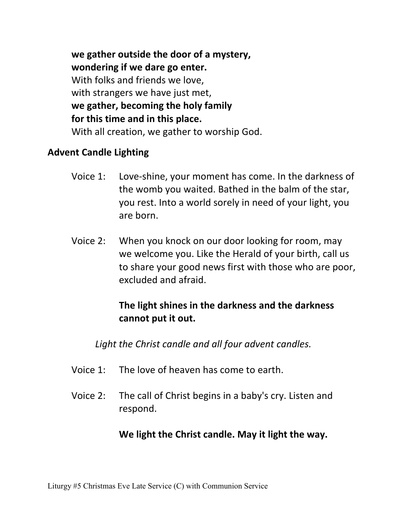**we gather outside the door of a mystery, wondering if we dare go enter.** With folks and friends we love, with strangers we have just met,  **we gather, becoming the holy family for this time and in this place.**  With all creation, we gather to worship God.

### **Advent Candle Lighting**

- Voice 1: Love-shine, your moment has come. In the darkness of the womb you waited. Bathed in the balm of the star, you rest. Into a world sorely in need of your light, you are born.
- Voice 2: When you knock on our door looking for room, may we welcome you. Like the Herald of your birth, call us to share your good news first with those who are poor, excluded and afraid.

## **The light shines in the darkness and the darkness cannot put it out.**

*Light the Christ candle and all four advent candles.* 

- Voice 1: The love of heaven has come to earth.
- Voice 2: The call of Christ begins in a baby's cry. Listen and respond.

## **We light the Christ candle. May it light the way.**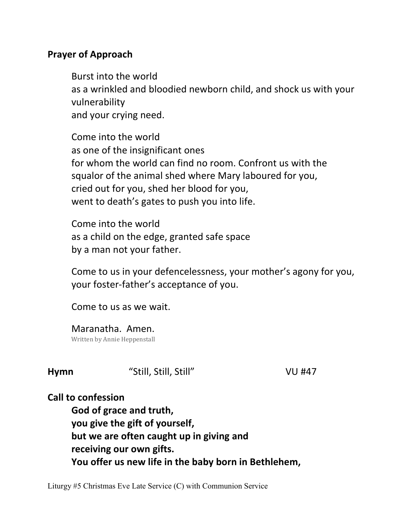### **Prayer of Approach**

 Burst into the world as a wrinkled and bloodied newborn child, and shock us with your vulnerability and your crying need.

 Come into the world as one of the insignificant ones for whom the world can find no room. Confront us with the squalor of the animal shed where Mary laboured for you, cried out for you, shed her blood for you, went to death's gates to push you into life.

 Come into the world as a child on the edge, granted safe space by a man not your father.

 Come to us in your defencelessness, your mother's agony for you, your foster-father's acceptance of you.

Come to us as we wait.

 Maranatha. Amen. Written by Annie Heppenstall

**Hymn** "Still, Still, Still" VU #47

## **Call to confession**

 **God of grace and truth, you give the gift of yourself, but we are often caught up in giving and receiving our own gifts. You offer us new life in the baby born in Bethlehem,** 

Liturgy #5 Christmas Eve Late Service (C) with Communion Service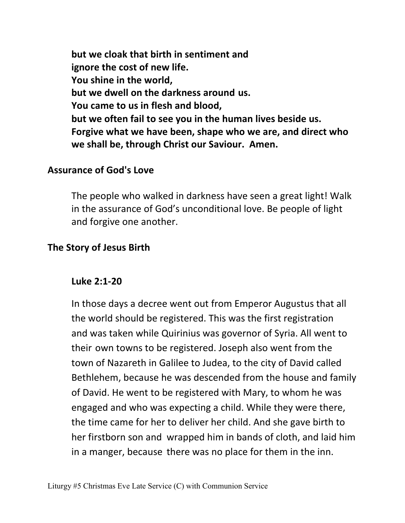**but we cloak that birth in sentiment and ignore the cost of new life. You shine in the world, but we dwell on the darkness around us. You came to us in flesh and blood, but we often fail to see you in the human lives beside us. Forgive what we have been, shape who we are, and direct who we shall be, through Christ our Saviour. Amen.** 

#### **Assurance of God's Love**

The people who walked in darkness have seen a great light! Walk in the assurance of God's unconditional love. Be people of light and forgive one another.

#### **The Story of Jesus Birth**

#### **Luke 2:1-20**

 In those days a decree went out from Emperor Augustus that all the world should be registered. This was the first registration and was taken while Quirinius was governor of Syria. All went to their own towns to be registered. Joseph also went from the town of Nazareth in Galilee to Judea, to the city of David called Bethlehem, because he was descended from the house and family of David. He went to be registered with Mary, to whom he was engaged and who was expecting a child. While they were there, the time came for her to deliver her child. And she gave birth to her firstborn son and wrapped him in bands of cloth, and laid him in a manger, because there was no place for them in the inn.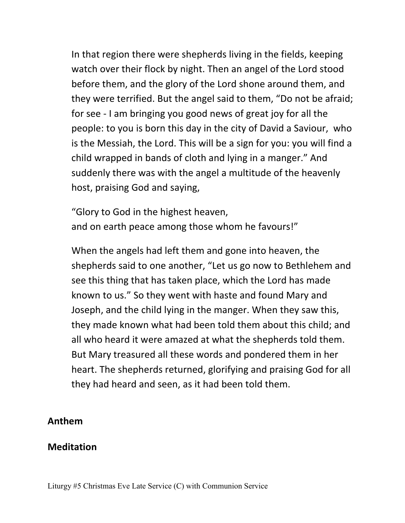In that region there were shepherds living in the fields, keeping watch over their flock by night. Then an angel of the Lord stood before them, and the glory of the Lord shone around them, and they were terrified. But the angel said to them, "Do not be afraid; for see - I am bringing you good news of great joy for all the people: to you is born this day in the city of David a Saviour, who is the Messiah, the Lord. This will be a sign for you: you will find a child wrapped in bands of cloth and lying in a manger." And suddenly there was with the angel a multitude of the heavenly host, praising God and saying,

"Glory to God in the highest heaven, and on earth peace among those whom he favours!"

When the angels had left them and gone into heaven, the shepherds said to one another, "Let us go now to Bethlehem and see this thing that has taken place, which the Lord has made known to us." So they went with haste and found Mary and Joseph, and the child lying in the manger. When they saw this, they made known what had been told them about this child; and all who heard it were amazed at what the shepherds told them. But Mary treasured all these words and pondered them in her heart. The shepherds returned, glorifying and praising God for all they had heard and seen, as it had been told them.

#### **Anthem**

#### **Meditation**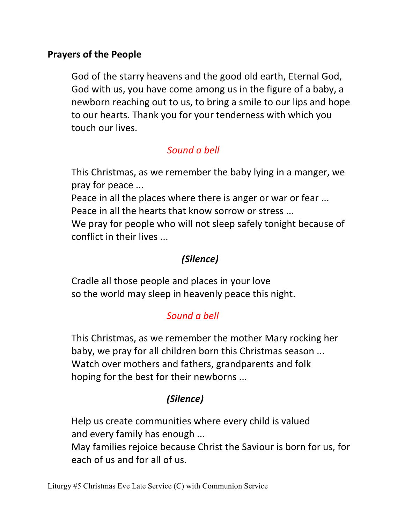## **Prayers of the People**

 God of the starry heavens and the good old earth, Eternal God, God with us, you have come among us in the figure of a baby, a newborn reaching out to us, to bring a smile to our lips and hope to our hearts. Thank you for your tenderness with which you touch our lives.

# *Sound a bell*

 This Christmas, as we remember the baby lying in a manger, we pray for peace ...

 Peace in all the places where there is anger or war or fear ... Peace in all the hearts that know sorrow or stress ...

 We pray for people who will not sleep safely tonight because of conflict in their lives ...

# *(Silence)*

 Cradle all those people and places in your love so the world may sleep in heavenly peace this night.

# *Sound a bell*

 This Christmas, as we remember the mother Mary rocking her baby, we pray for all children born this Christmas season ... Watch over mothers and fathers, grandparents and folk hoping for the best for their newborns ...

# *(Silence)*

 Help us create communities where every child is valued and every family has enough ...

 May families rejoice because Christ the Saviour is born for us, for each of us and for all of us.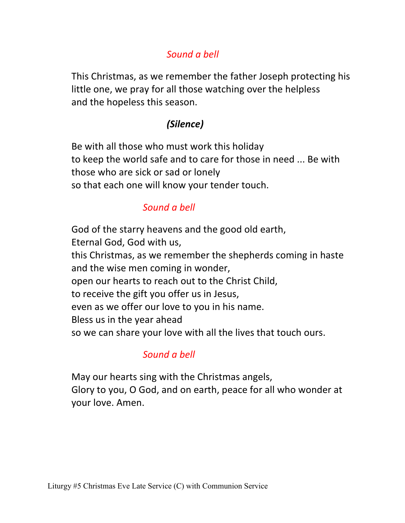# *Sound a bell*

 This Christmas, as we remember the father Joseph protecting his little one, we pray for all those watching over the helpless and the hopeless this season.

# *(Silence)*

 Be with all those who must work this holiday to keep the world safe and to care for those in need ... Be with those who are sick or sad or lonely so that each one will know your tender touch.

# *Sound a bell*

 God of the starry heavens and the good old earth, Eternal God, God with us, this Christmas, as we remember the shepherds coming in haste and the wise men coming in wonder, open our hearts to reach out to the Christ Child, to receive the gift you offer us in Jesus, even as we offer our love to you in his name. Bless us in the year ahead so we can share your love with all the lives that touch ours.

# *Sound a bell*

 May our hearts sing with the Christmas angels, Glory to you, O God, and on earth, peace for all who wonder at your love. Amen.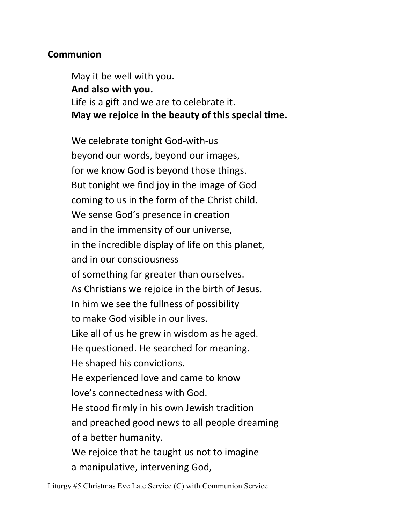## **Communion**

 May it be well with you.  **And also with you.** Life is a gift and we are to celebrate it.  **May we rejoice in the beauty of this special time.**

 We celebrate tonight God-with-us beyond our words, beyond our images, for we know God is beyond those things. But tonight we find joy in the image of God coming to us in the form of the Christ child. We sense God's presence in creation and in the immensity of our universe, in the incredible display of life on this planet, and in our consciousness of something far greater than ourselves. As Christians we rejoice in the birth of Jesus. In him we see the fullness of possibility to make God visible in our lives. Like all of us he grew in wisdom as he aged. He questioned. He searched for meaning. He shaped his convictions. He experienced love and came to know love's connectedness with God. He stood firmly in his own Jewish tradition and preached good news to all people dreaming of a better humanity. We rejoice that he taught us not to imagine a manipulative, intervening God,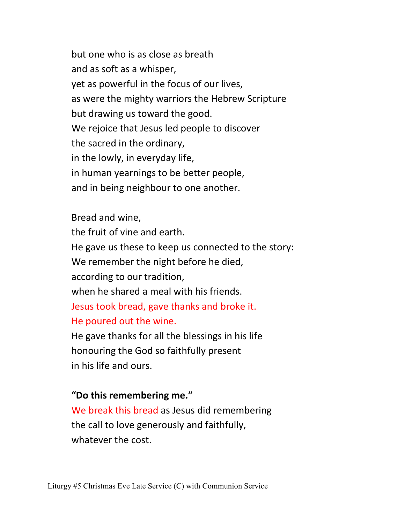but one who is as close as breath and as soft as a whisper, yet as powerful in the focus of our lives, as were the mighty warriors the Hebrew Scripture but drawing us toward the good. We rejoice that Jesus led people to discover the sacred in the ordinary, in the lowly, in everyday life, in human yearnings to be better people, and in being neighbour to one another.

 Bread and wine, the fruit of vine and earth. He gave us these to keep us connected to the story: We remember the night before he died, according to our tradition, when he shared a meal with his friends. Jesus took bread, gave thanks and broke it. He poured out the wine. He gave thanks for all the blessings in his life

 honouring the God so faithfully present in his life and ours.

### **"Do this remembering me."**

We break this bread as Jesus did remembering the call to love generously and faithfully, whatever the cost.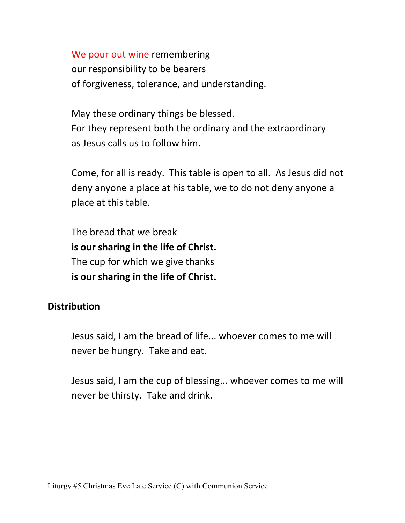We pour out wine remembering our responsibility to be bearers of forgiveness, tolerance, and understanding.

 May these ordinary things be blessed. For they represent both the ordinary and the extraordinary as Jesus calls us to follow him.

 Come, for all is ready. This table is open to all. As Jesus did not deny anyone a place at his table, we to do not deny anyone a place at this table.

 The bread that we break **is our sharing in the life of Christ.**  The cup for which we give thanks **is our sharing in the life of Christ.** 

### **Distribution**

 Jesus said, I am the bread of life... whoever comes to me will never be hungry. Take and eat.

 Jesus said, I am the cup of blessing... whoever comes to me will never be thirsty. Take and drink.